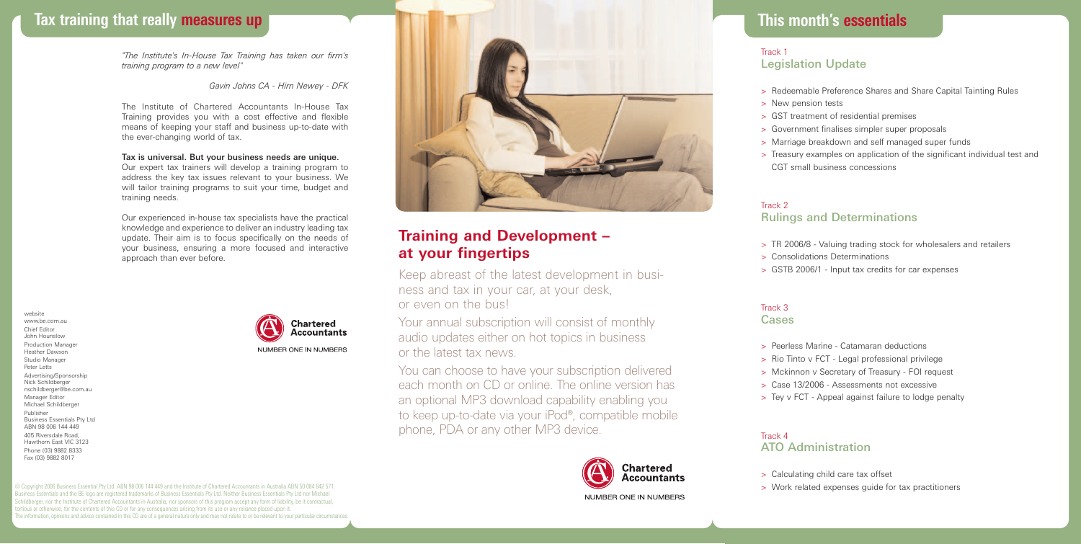# **Tax training that really measures up**

*"The Institute's In-House Tax Training has taken our firm's training program to a new level"*

#### *Gavin Johns CA - Hirn Newey - DFK*

The Institute of Chartered Accountants In-House Tax Training provides you with a cost effective and flexible means of keeping your staff and business up-to-date with the ever-changing world of tax.

## Tax is universal. But your business needs are unique.

Our expert tax trainers will develop a training program to address the key tax issues relevant to your business. We will tailor training programs to suit your time, budget and training needs.

Our experienced in-house tax specialists have the practical knowledge and experience to deliver an industry leading tax update. Their aim is to focus specifically on the needs of your business, ensuring a more focused and interactive approach than ever before.

website www.be.com.au Chief Editor John Hounslow Production Manager Heather Dawson Studio Manager Peter Letts Advertising/Sponsorship Nick Schildberger nschildberger@be.com.au Manager Editor Michael Schildberger Publisher Business Essentials Pty Ltd ABN 98 006 144 449 405 Riversdale Road, Hawthorn East VIC 3123 Phone (03) 9882 8333 Fax (03) 9882 8017



© Copyright 2006 Business Essential Pty Ltd ABN 98 006 144 449 and the Institute of Chartered Accountants in Australia ABN 50 084 642 571. Business Essentials and the BE logo are registered trademarks of Business Essentials Pty Ltd. Neither Business Essentials Pty Ltd nor Michael Schildberger, nor the Institute of Chartered Accountants in Australia, nor sponsors of this program accept any form of liability, be it contractual, ortious or otherwise, for the contents of this CD or for any consequences arising from its use or any reliance placed upon it. The information, opinions and advice contained in this CD are of a general nature only and may not relate to or be relevant to your particular circumstances.



# **Training and Development – at your fingertips**

Keep abreast of the latest development in business and tax in your car, at your desk, or even on the bus!

Your annual subscription will consist of monthly audio updates either on hot topics in business or the latest tax news.

You can choose to have your subscription delivered each month on CD or online. The online version has an optional MP3 download capability enabling you to keep up-to-date via your iPod®, compatible mobile phone, PDA or any other MP3 device.



## **This month's essentials**

### **This month's essentials** Track 1 Legislation Update

- > Redeemable Preference Shares and Share Capital Tainting Rules
- > New pension tests
- > GST treatment of residential premises
- > Government finalises simpler super proposals
- > Marriage breakdown and self managed super funds
- > Treasury examples on application of the significant individual test and CGT small business concessions

## Track 2 Rulings and Determinations

- > TR 2006/8 Valuing trading stock for wholesalers and retailers
- > Consolidations Determinations
- > GSTB 2006/1 Input tax credits for car expenses

### Track 3 Cases

- > Peerless Marine Catamaran deductions
- > Rio Tinto v FCT Legal professional privilege
- > Mckinnon v Secretary of Treasury FOI request
- > Case 13/2006 Assessments not excessive
- > Tey v FCT Appeal against failure to lodge penalty

## Track 4

## ATO Administration

- > Calculating child care tax offset
- > Work related expenses guide for tax practitioners